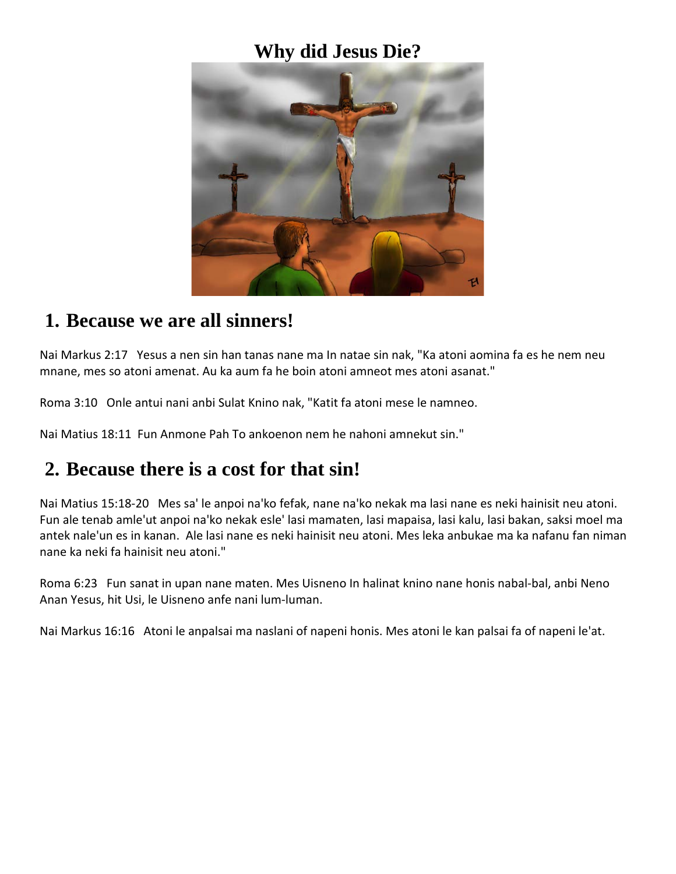### **Why did Jesus Die?**



#### **1. Because we are all sinners!**

Nai Markus 2:17 Yesus a nen sin han tanas nane ma In natae sin nak, "Ka atoni aomina fa es he nem neu mnane, mes so atoni amenat. Au ka aum fa he boin atoni amneot mes atoni asanat."

Roma 3:10 Onle antui nani anbi Sulat Knino nak, "Katit fa atoni mese le namneo.

Nai Matius 18:11 Fun Anmone Pah To ankoenon nem he nahoni amnekut sin."

## **2. Because there is a cost for that sin!**

Nai Matius 15:18-20 Mes sa' le anpoi na'ko fefak, nane na'ko nekak ma lasi nane es neki hainisit neu atoni. Fun ale tenab amle'ut anpoi na'ko nekak esle' lasi mamaten, lasi mapaisa, lasi kalu, lasi bakan, saksi moel ma antek nale'un es in kanan. Ale lasi nane es neki hainisit neu atoni. Mes leka anbukae ma ka nafanu fan niman nane ka neki fa hainisit neu atoni."

Roma 6:23 Fun sanat in upan nane maten. Mes Uisneno In halinat knino nane honis nabal-bal, anbi Neno Anan Yesus, hit Usi, le Uisneno anfe nani lum-luman.

Nai Markus 16:16 Atoni le anpalsai ma naslani of napeni honis. Mes atoni le kan palsai fa of napeni le'at.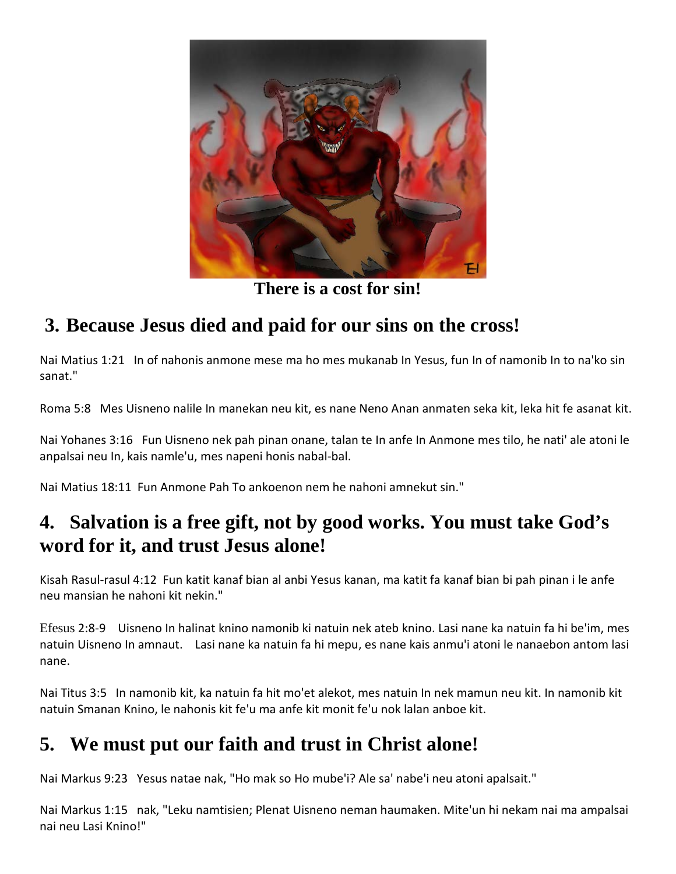

**There is a cost for sin!**

# **3. Because Jesus died and paid for our sins on the cross!**

Nai Matius 1:21 In of nahonis anmone mese ma ho mes mukanab In Yesus, fun In of namonib In to na'ko sin sanat."

Roma 5:8 Mes Uisneno nalile In manekan neu kit, es nane Neno Anan anmaten seka kit, leka hit fe asanat kit.

Nai Yohanes 3:16 Fun Uisneno nek pah pinan onane, talan te In anfe In Anmone mes tilo, he nati' ale atoni le anpalsai neu In, kais namle'u, mes napeni honis nabal-bal.

Nai Matius 18:11 Fun Anmone Pah To ankoenon nem he nahoni amnekut sin."

## **4. Salvation is a free gift, not by good works. You must take God's word for it, and trust Jesus alone!**

Kisah Rasul-rasul 4:12 Fun katit kanaf bian al anbi Yesus kanan, ma katit fa kanaf bian bi pah pinan i le anfe neu mansian he nahoni kit nekin."

Efesus 2:8-9 Uisneno In halinat knino namonib ki natuin nek ateb knino. Lasi nane ka natuin fa hi be'im, mes natuin Uisneno In amnaut. Lasi nane ka natuin fa hi mepu, es nane kais anmu'i atoni le nanaebon antom lasi nane.

Nai Titus 3:5 In namonib kit, ka natuin fa hit mo'et alekot, mes natuin In nek mamun neu kit. In namonib kit natuin Smanan Knino, le nahonis kit fe'u ma anfe kit monit fe'u nok lalan anboe kit.

# **5. We must put our faith and trust in Christ alone!**

Nai Markus 9:23 Yesus natae nak, "Ho mak so Ho mube'i? Ale sa' nabe'i neu atoni apalsait."

Nai Markus 1:15 nak, "Leku namtisien; Plenat Uisneno neman haumaken. Mite'un hi nekam nai ma ampalsai nai neu Lasi Knino!"